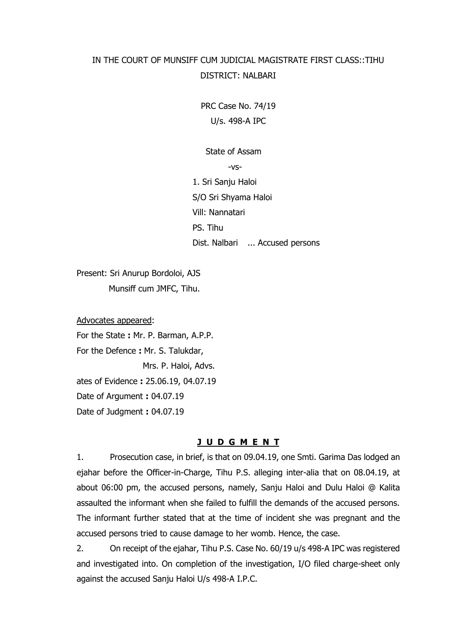# IN THE COURT OF MUNSIFF CUM JUDICIAL MAGISTRATE FIRST CLASS::TIHU DISTRICT: NALBARI

PRC Case No. 74/19 U/s. 498-A IPC

State of Assam

-vs-

1. Sri Sanju Haloi S/O Sri Shyama Haloi Vill: Nannatari PS. Tihu Dist. Nalbari ... Accused persons

Present: Sri Anurup Bordoloi, AJS Munsiff cum JMFC, Tihu.

Advocates appeared: For the State **:** Mr. P. Barman, A.P.P. For the Defence **:** Mr. S. Talukdar, Mrs. P. Haloi, Advs. ates of Evidence **:** 25.06.19, 04.07.19 Date of Argument **:** 04.07.19 Date of Judgment **:** 04.07.19

# **J U D G M E N T**

1. Prosecution case, in brief, is that on 09.04.19, one Smti. Garima Das lodged an ejahar before the Officer-in-Charge, Tihu P.S. alleging inter-alia that on 08.04.19, at about 06:00 pm, the accused persons, namely, Sanju Haloi and Dulu Haloi @ Kalita assaulted the informant when she failed to fulfill the demands of the accused persons. The informant further stated that at the time of incident she was pregnant and the accused persons tried to cause damage to her womb. Hence, the case.

2. On receipt of the ejahar, Tihu P.S. Case No. 60/19 u/s 498-A IPC was registered and investigated into. On completion of the investigation, I/O filed charge-sheet only against the accused Sanju Haloi U/s 498-A I.P.C.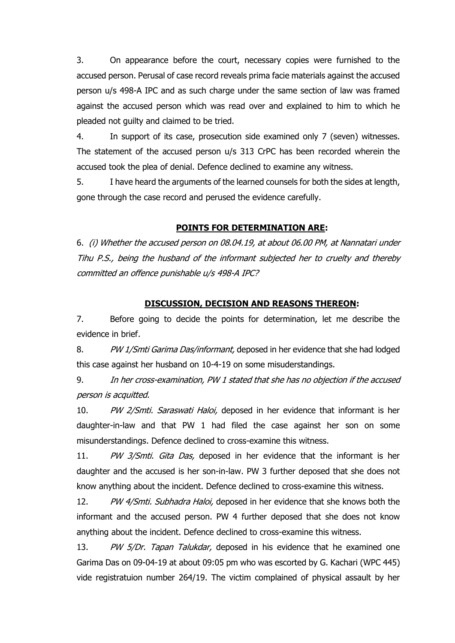3. On appearance before the court, necessary copies were furnished to the accused person. Perusal of case record reveals prima facie materials against the accused person u/s 498-A IPC and as such charge under the same section of law was framed against the accused person which was read over and explained to him to which he pleaded not guilty and claimed to be tried.

4. In support of its case, prosecution side examined only 7 (seven) witnesses. The statement of the accused person u/s 313 CrPC has been recorded wherein the accused took the plea of denial. Defence declined to examine any witness.

5. I have heard the arguments of the learned counsels for both the sides at length, gone through the case record and perused the evidence carefully.

#### **POINTS FOR DETERMINATION ARE:**

6. (i) Whether the accused person on 08.04.19, at about 06.00 PM, at Nannatari under Tihu P.S., being the husband of the informant subjected her to cruelty and thereby committed an offence punishable u/s 498-A IPC?

#### **DISCUSSION, DECISION AND REASONS THEREON:**

7. Before going to decide the points for determination, let me describe the evidence in brief.

8. PW 1/Smti Garima Das/informant, deposed in her evidence that she had lodged this case against her husband on 10-4-19 on some misuderstandings.

9. In her cross-examination, PW 1 stated that she has no objection if the accused person is acquitted.

10. PW 2/Smti. Saraswati Haloi, deposed in her evidence that informant is her daughter-in-law and that PW 1 had filed the case against her son on some misunderstandings. Defence declined to cross-examine this witness.

11. PW 3/Smti. Gita Das, deposed in her evidence that the informant is her daughter and the accused is her son-in-law. PW 3 further deposed that she does not know anything about the incident. Defence declined to cross-examine this witness.

12. PW 4/Smti. Subhadra Haloi, deposed in her evidence that she knows both the informant and the accused person. PW 4 further deposed that she does not know anything about the incident. Defence declined to cross-examine this witness.

13. PW 5/Dr. Tapan Talukdar, deposed in his evidence that he examined one Garima Das on 09-04-19 at about 09:05 pm who was escorted by G. Kachari (WPC 445) vide registratuion number 264/19. The victim complained of physical assault by her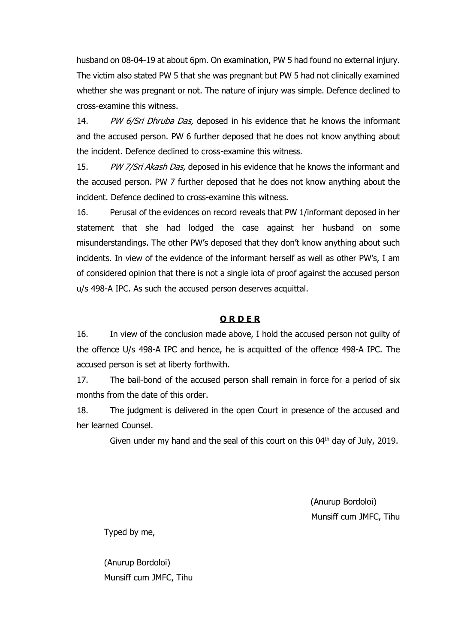husband on 08-04-19 at about 6pm. On examination, PW 5 had found no external injury. The victim also stated PW 5 that she was pregnant but PW 5 had not clinically examined whether she was pregnant or not. The nature of injury was simple. Defence declined to cross-examine this witness.

14. PW 6/Sri Dhruba Das, deposed in his evidence that he knows the informant and the accused person. PW 6 further deposed that he does not know anything about the incident. Defence declined to cross-examine this witness.

15. PW 7/Sri Akash Das, deposed in his evidence that he knows the informant and the accused person. PW 7 further deposed that he does not know anything about the incident. Defence declined to cross-examine this witness.

16. Perusal of the evidences on record reveals that PW 1/informant deposed in her statement that she had lodged the case against her husband on some misunderstandings. The other PW's deposed that they don't know anything about such incidents. In view of the evidence of the informant herself as well as other PW's, I am of considered opinion that there is not a single iota of proof against the accused person u/s 498-A IPC. As such the accused person deserves acquittal.

## **O R D E R**

16. In view of the conclusion made above, I hold the accused person not guilty of the offence U/s 498-A IPC and hence, he is acquitted of the offence 498-A IPC. The accused person is set at liberty forthwith.

17. The bail-bond of the accused person shall remain in force for a period of six months from the date of this order.

18. The judgment is delivered in the open Court in presence of the accused and her learned Counsel.

Given under my hand and the seal of this court on this  $04<sup>th</sup>$  day of July, 2019.

 (Anurup Bordoloi) Munsiff cum JMFC, Tihu

Typed by me,

(Anurup Bordoloi) Munsiff cum JMFC, Tihu